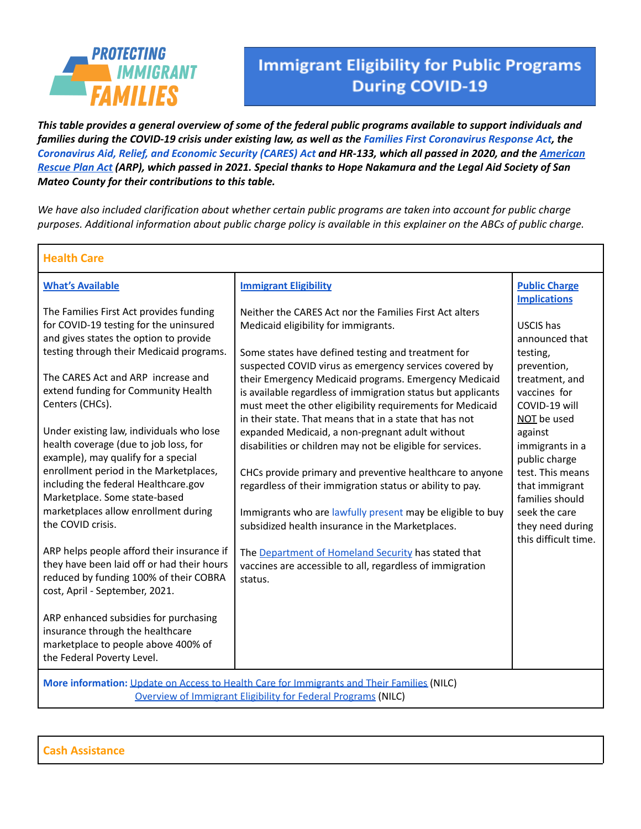

Г

# **Immigrant Eligibility for Public Programs During COVID-19**

1

This table provides a general overview of some of the federal public programs available to support individuals and families during the COVID-19 crisis under existing law, as well as the Families First [Coronavirus](https://www.congress.gov/bill/116th-congress/house-bill/6201) Response Act, the [Coronavirus](https://www.congress.gov/bill/116th-congress/senate-bill/3548/text) Aid, Relief, and Economic Security (CARES) Act and HR-133, which all passed in 2020, and the [American](https://www.congress.gov/bill/117th-congress/house-bill/1319/text) [Rescue](https://www.congress.gov/bill/117th-congress/house-bill/1319/text) Plan Act (ARP), which passed in 2021. Special thanks to Hope Nakamura and the Legal Aid Society of San *Mateo County for their contributions to this table.*

We have also included clarification about whether certain public programs are taken into account for public charge purposes. Additional information about public charge policy is available in this explainer on the ABCs of public charge.

| <b>Health Care</b>                                                                                                                                                                                                                                                                                                                                                                                                                                                                                                                                                                                                                                                                                                                                                                                                                                                                                            |                                                                                                                                                                                                                                                                                                                                                                                                                                                                                                                                                                                                                                                                                                                                                                                                                                                                                                                                                             |                                                                                                                                                                                                                                                                                               |  |  |
|---------------------------------------------------------------------------------------------------------------------------------------------------------------------------------------------------------------------------------------------------------------------------------------------------------------------------------------------------------------------------------------------------------------------------------------------------------------------------------------------------------------------------------------------------------------------------------------------------------------------------------------------------------------------------------------------------------------------------------------------------------------------------------------------------------------------------------------------------------------------------------------------------------------|-------------------------------------------------------------------------------------------------------------------------------------------------------------------------------------------------------------------------------------------------------------------------------------------------------------------------------------------------------------------------------------------------------------------------------------------------------------------------------------------------------------------------------------------------------------------------------------------------------------------------------------------------------------------------------------------------------------------------------------------------------------------------------------------------------------------------------------------------------------------------------------------------------------------------------------------------------------|-----------------------------------------------------------------------------------------------------------------------------------------------------------------------------------------------------------------------------------------------------------------------------------------------|--|--|
| <b>What's Available</b>                                                                                                                                                                                                                                                                                                                                                                                                                                                                                                                                                                                                                                                                                                                                                                                                                                                                                       | <b>Immigrant Eligibility</b>                                                                                                                                                                                                                                                                                                                                                                                                                                                                                                                                                                                                                                                                                                                                                                                                                                                                                                                                | <b>Public Charge</b><br><b>Implications</b>                                                                                                                                                                                                                                                   |  |  |
| The Families First Act provides funding<br>for COVID-19 testing for the uninsured<br>and gives states the option to provide<br>testing through their Medicaid programs.<br>The CARES Act and ARP increase and<br>extend funding for Community Health<br>Centers (CHCs).<br>Under existing law, individuals who lose<br>health coverage (due to job loss, for<br>example), may qualify for a special<br>enrollment period in the Marketplaces,<br>including the federal Healthcare.gov<br>Marketplace. Some state-based<br>marketplaces allow enrollment during<br>the COVID crisis.<br>ARP helps people afford their insurance if<br>they have been laid off or had their hours<br>reduced by funding 100% of their COBRA<br>cost, April - September, 2021.<br>ARP enhanced subsidies for purchasing<br>insurance through the healthcare<br>marketplace to people above 400% of<br>the Federal Poverty Level. | Neither the CARES Act nor the Families First Act alters<br>Medicaid eligibility for immigrants.<br>Some states have defined testing and treatment for<br>suspected COVID virus as emergency services covered by<br>their Emergency Medicaid programs. Emergency Medicaid<br>is available regardless of immigration status but applicants<br>must meet the other eligibility requirements for Medicaid<br>in their state. That means that in a state that has not<br>expanded Medicaid, a non-pregnant adult without<br>disabilities or children may not be eligible for services.<br>CHCs provide primary and preventive healthcare to anyone<br>regardless of their immigration status or ability to pay.<br>Immigrants who are lawfully present may be eligible to buy<br>subsidized health insurance in the Marketplaces.<br>The Department of Homeland Security has stated that<br>vaccines are accessible to all, regardless of immigration<br>status. | USCIS has<br>announced that<br>testing,<br>prevention,<br>treatment, and<br>vaccines for<br>COVID-19 will<br>NOT be used<br>against<br>immigrants in a<br>public charge<br>test. This means<br>that immigrant<br>families should<br>seek the care<br>they need during<br>this difficult time. |  |  |
| More information: Update on Access to Health Care for Immigrants and Their Families (NILC)<br>Overview of Immigrant Eligibility for Federal Programs (NILC)                                                                                                                                                                                                                                                                                                                                                                                                                                                                                                                                                                                                                                                                                                                                                   |                                                                                                                                                                                                                                                                                                                                                                                                                                                                                                                                                                                                                                                                                                                                                                                                                                                                                                                                                             |                                                                                                                                                                                                                                                                                               |  |  |

**Cash Assistance**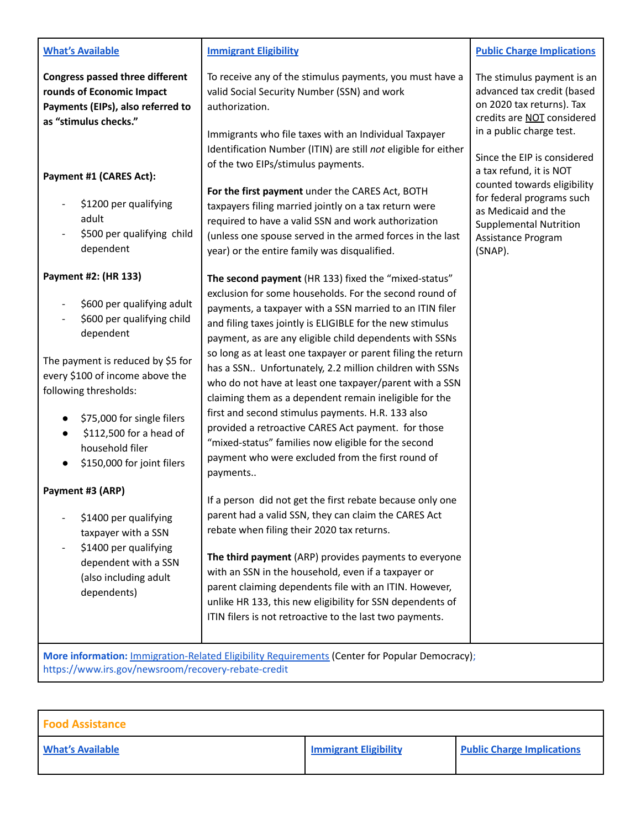#### **What's Available**

**Congress passed three different rounds of Economic Impact Payments (EIPs), also referred to as "stimulus checks."**

## **Payment #1 (CARES Act):**

- \$1200 per qualifying adult
- \$500 per qualifying child dependent

### **Payment #2: (HR 133)**

- \$600 per qualifying adult
- \$600 per qualifying child dependent

The payment is reduced by \$5 for every \$100 of income above the following thresholds:

- \$75,000 for single filers
- \$112,500 for a head of household filer
- \$150,000 for joint filers

## **Payment #3 (ARP)**

- \$1400 per qualifying taxpayer with a SSN
- \$1400 per qualifying dependent with a SSN (also including adult dependents)

### **Immigrant Eligibility**

To receive any of the stimulus payments, you must have a valid Social Security Number (SSN) and work authorization.

Immigrants who file taxes with an Individual Taxpayer Identification Number (ITIN) are still *not* eligible for either of the two EIPs/stimulus payments.

**For the first payment** under the CARES Act, BOTH taxpayers filing married jointly on a tax return were required to have a valid SSN and work authorization (unless one spouse served in the armed forces in the last year) or the entire family was disqualified.

**The second payment** (HR 133) fixed the "mixed-status" exclusion for some households. For the second round of payments, a taxpayer with a SSN married to an ITIN filer and filing taxes jointly is ELIGIBLE for the new stimulus payment, as are any eligible child dependents with SSNs so long as at least one taxpayer or parent filing the return has a SSN.. Unfortunately, 2.2 million children with SSNs who do not have at least one taxpayer/parent with a SSN claiming them as a dependent remain ineligible for the first and second stimulus payments. H.R. 133 also provided a retroactive CARES Act payment. for those "mixed-status" families now eligible for the second payment who were excluded from the first round of payments..

If a person did not get the first rebate because only one parent had a valid SSN, they can claim the CARES Act rebate when filing their 2020 tax returns.

**The third payment** (ARP) provides payments to everyone with an SSN in the household, even if a taxpayer or parent claiming dependents file with an ITIN. However, unlike HR 133, this new eligibility for SSN dependents of ITIN filers is not retroactive to the last two payments.

**Public Charge Implications**

The stimulus payment is an advanced tax credit (based on 2020 tax returns). Tax credits are NOT considered in a public charge test.

Since the EIP is considered a tax refund, it is NOT counted towards eligibility for federal programs such as Medicaid and the Supplemental Nutrition Assistance Program (SNAP).

**More information:** [Immigration-Related Eligibility](https://docs.google.com/document/d/14KPWI1tJWJN2U4-P8ja3umo5DTeT3B4bQwvYiI8EinY/edit) Requirements (Center for Popular Democracy); https://www.irs.gov/newsroom/recovery-rebate-credit

| <b>Food Assistance</b>  |                              |                                   |
|-------------------------|------------------------------|-----------------------------------|
| <b>What's Available</b> | <b>Immigrant Eligibility</b> | <b>Public Charge Implications</b> |